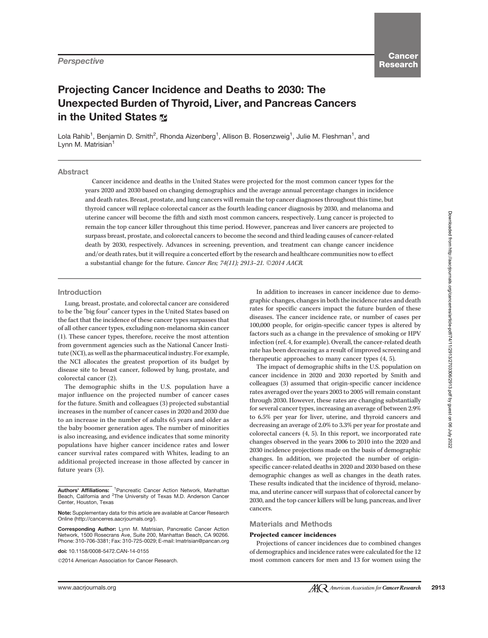# Projecting Cancer Incidence and Deaths to 2030: The Unexpected Burden of Thyroid, Liver, and Pancreas Cancers in the United States  $\infty$

Lola Rahib<sup>1</sup>, Benjamin D. Smith<sup>2</sup>, Rhonda Aizenberg<sup>1</sup>, Allison B. Rosenzweig<sup>1</sup>, Julie M. Fleshman<sup>1</sup>, and Lynn M. Matrisian<sup>1</sup>

## **Abstract**

Cancer incidence and deaths in the United States were projected for the most common cancer types for the years 2020 and 2030 based on changing demographics and the average annual percentage changes in incidence and death rates. Breast, prostate, and lung cancers will remain the top cancer diagnoses throughout this time, but thyroid cancer will replace colorectal cancer as the fourth leading cancer diagnosis by 2030, and melanoma and uterine cancer will become the fifth and sixth most common cancers, respectively. Lung cancer is projected to remain the top cancer killer throughout this time period. However, pancreas and liver cancers are projected to surpass breast, prostate, and colorectal cancers to become the second and third leading causes of cancer-related death by 2030, respectively. Advances in screening, prevention, and treatment can change cancer incidence and/or death rates, but it will require a concerted effort by the research and healthcare communities now to effect a substantial change for the future. Cancer Res; 74(11); 2913-21.  $\odot$ 2014 AACR.

# Introduction

Lung, breast, prostate, and colorectal cancer are considered to be the "big four" cancer types in the United States based on the fact that the incidence of these cancer types surpasses that of all other cancer types, excluding non-melanoma skin cancer (1). These cancer types, therefore, receive the most attention from government agencies such as the National Cancer Institute (NCI), as well as the pharmaceutical industry. For example, the NCI allocates the greatest proportion of its budget by disease site to breast cancer, followed by lung, prostate, and colorectal cancer (2).

The demographic shifts in the U.S. population have a major influence on the projected number of cancer cases for the future. Smith and colleagues (3) projected substantial increases in the number of cancer cases in 2020 and 2030 due to an increase in the number of adults 65 years and older as the baby boomer generation ages. The number of minorities is also increasing, and evidence indicates that some minority populations have higher cancer incidence rates and lower cancer survival rates compared with Whites, leading to an additional projected increase in those affected by cancer in future years (3).

doi: 10.1158/0008-5472.CAN-14-0155

2014 American Association for Cancer Research.

In addition to increases in cancer incidence due to demographic changes, changes in both the incidence rates and death rates for specific cancers impact the future burden of these diseases. The cancer incidence rate, or number of cases per 100,000 people, for origin-specific cancer types is altered by factors such as a change in the prevalence of smoking or HPV infection (ref. 4, for example). Overall, the cancer-related death rate has been decreasing as a result of improved screening and therapeutic approaches to many cancer types (4, 5).

The impact of demographic shifts in the U.S. population on cancer incidence in 2020 and 2030 reported by Smith and colleagues (3) assumed that origin-specific cancer incidence rates averaged over the years 2003 to 2005 will remain constant through 2030. However, these rates are changing substantially for several cancer types, increasing an average of between 2.9% to 6.5% per year for liver, uterine, and thyroid cancers and decreasing an average of 2.0% to 3.3% per year for prostate and colorectal cancers (4, 5). In this report, we incorporated rate changes observed in the years 2006 to 2010 into the 2020 and 2030 incidence projections made on the basis of demographic changes. In addition, we projected the number of originspecific cancer-related deaths in 2020 and 2030 based on these demographic changes as well as changes in the death rates. These results indicated that the incidence of thyroid, melanoma, and uterine cancer will surpass that of colorectal cancer by 2030, and the top cancer killers will be lung, pancreas, and liver cancers.

# Materials and Methods

#### Projected cancer incidences

Projections of cancer incidences due to combined changes of demographics and incidence rates were calculated for the 12 most common cancers for men and 13 for women using the

Authors' Affiliations: <sup>1</sup> Pancreatic Cancer Action Network, Manhattan Beach, California and <sup>2</sup>The University of Texas M.D. Anderson Cancer Center, Houston, Texas

Note: Supplementary data for this article are available at Cancer Research Online (http://cancerres.aacrjournals.org/).

Corresponding Author: Lynn M. Matrisian, Pancreatic Cancer Action Network, 1500 Rosecrans Ave, Suite 200, Manhattan Beach, CA 90266. Phone: 310-706-3381; Fax: 310-725-0029; E-mail: lmatrisian@pancan.org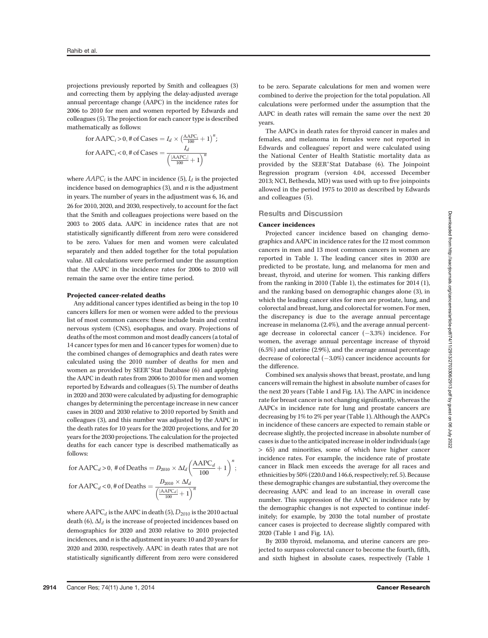projections previously reported by Smith and colleagues (3) and correcting them by applying the delay-adjusted average annual percentage change (AAPC) in the incidence rates for 2006 to 2010 for men and women reported by Edwards and colleagues (5). The projection for each cancer type is described mathematically as follows:

for AAPC<sub>i</sub> > 0, # of Cases = 
$$
I_d \times \left(\frac{AAPC_i}{100} + 1\right)^n
$$
;  
for AAPC<sub>i</sub> < 0, # of Cases = 
$$
\frac{I_d}{\left(\frac{|AAPC_i|}{100} + 1\right)^n}
$$

where  $AAPC_i$  is the AAPC in incidence (5),  $I_d$  is the projected incidence based on demographics  $(3)$ , and  $n$  is the adjustment in years. The number of years in the adjustment was 6, 16, and 26 for 2010, 2020, and 2030, respectively, to account for the fact that the Smith and colleagues projections were based on the 2003 to 2005 data. AAPC in incidence rates that are not statistically significantly different from zero were considered to be zero. Values for men and women were calculated separately and then added together for the total population value. All calculations were performed under the assumption that the AAPC in the incidence rates for 2006 to 2010 will remain the same over the entire time period.

### Projected cancer-related deaths

Any additional cancer types identified as being in the top 10 cancers killers for men or women were added to the previous list of most common cancers: these include brain and central nervous system (CNS), esophagus, and ovary. Projections of deaths of the most common and most deadly cancers (a total of 14 cancer types for men and 16 cancer types for women) due to the combined changes of demographics and death rates were calculated using the 2010 number of deaths for men and women as provided by SEER<sup>\*</sup>Stat Database (6) and applying the AAPC in death rates from 2006 to 2010 for men and women reported by Edwards and colleagues (5). The number of deaths in 2020 and 2030 were calculated by adjusting for demographic changes by determining the percentage increase in new cancer cases in 2020 and 2030 relative to 2010 reported by Smith and colleagues (3), and this number was adjusted by the AAPC in the death rates for 10 years for the 2020 projections, and for 20 years for the 2030 projections. The calculation for the projected deaths for each cancer type is described mathematically as follows:

for 
$$
\triangle
$$
APC<sub>d</sub> > 0, # of Deaths =  $D_{2010} \times \Delta I_d \left(\frac{\triangle$ APC<sub>d</sub>}{100} + 1\right)^n;  
for  $\triangle$ APC<sub>d</sub> < 0, # of Deaths =  $\frac{D_{2010} \times \Delta I_d}{\left(\frac{|\triangle$ APC<sub>d</sub>|}{100} + 1\right)^n}

where  $AAPC_d$  is the AAPC in death (5),  $D_{2010}$  is the 2010 actual death (6),  $\Delta I_d$  is the increase of projected incidences based on demographics for 2020 and 2030 relative to 2010 projected incidences, and n is the adjustment in years: 10 and 20 years for 2020 and 2030, respectively. AAPC in death rates that are not statistically significantly different from zero were considered

to be zero. Separate calculations for men and women were combined to derive the projection for the total population. All calculations were performed under the assumption that the AAPC in death rates will remain the same over the next 20 years.

The AAPCs in death rates for thyroid cancer in males and females, and melanoma in females were not reported in Edwards and colleagues' report and were calculated using the National Center of Health Statistic mortality data as provided by the SEER\*Stat Database (6). The Joinpoint Regression program (version 4.04, accessed December 2013; NCI, Bethesda, MD) was used with up to five joinpoints allowed in the period 1975 to 2010 as described by Edwards and colleagues (5).

# Results and Discussion

# Cancer incidences

Projected cancer incidence based on changing demographics and AAPC in incidence rates for the 12 most common cancers in men and 13 most common cancers in women are reported in Table 1. The leading cancer sites in 2030 are predicted to be prostate, lung, and melanoma for men and breast, thyroid, and uterine for women. This ranking differs from the ranking in 2010 (Table 1), the estimates for 2014 (1), and the ranking based on demographic changes alone (3), in which the leading cancer sites for men are prostate, lung, and colorectal and breast, lung, and colorectal for women. For men, the discrepancy is due to the average annual percentage increase in melanoma (2.4%), and the average annual percentage decrease in colorectal cancer  $(-3.3%)$  incidence. For women, the average annual percentage increase of thyroid (6.5%) and uterine (2.9%), and the average annual percentage decrease of colorectal  $(-3.0%)$  cancer incidence accounts for the difference.

Combined sex analysis shows that breast, prostate, and lung cancers will remain the highest in absolute number of cases for the next 20 years (Table 1 and Fig. 1A). The AAPC in incidence rate for breast cancer is not changing significantly, whereas the AAPCs in incidence rate for lung and prostate cancers are decreasing by 1% to 2% per year (Table 1). Although the AAPCs in incidence of these cancers are expected to remain stable or decrease slightly, the projected increase in absolute number of cases is due to the anticipated increase in older individuals (age > 65) and minorities, some of which have higher cancer incidence rates. For example, the incidence rate of prostate cancer in Black men exceeds the average for all races and ethnicities by 50% (220.0 and 146.6, respectively; ref. 5). Because these demographic changes are substantial, they overcome the decreasing AAPC and lead to an increase in overall case number. This suppression of the AAPC in incidence rate by the demographic changes is not expected to continue indefinitely; for example, by 2030 the total number of prostate cancer cases is projected to decrease slightly compared with 2020 (Table 1 and Fig. 1A).

By 2030 thyroid, melanoma, and uterine cancers are projected to surpass colorectal cancer to become the fourth, fifth, and sixth highest in absolute cases, respectively (Table 1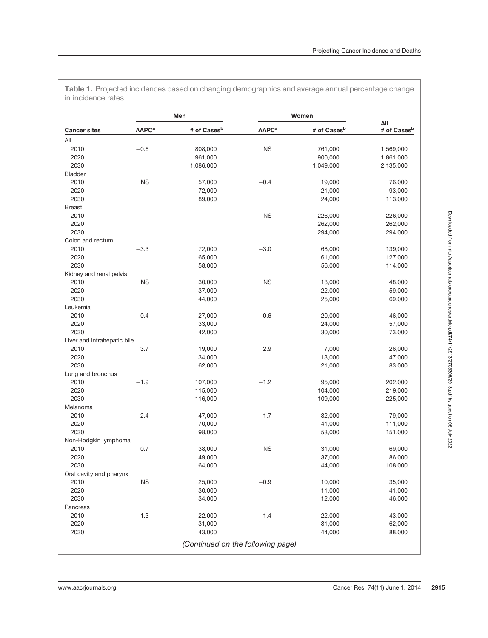|                    |  | Table 1. Projected incidences based on changing demographics and average annual percentage change |  |  |  |
|--------------------|--|---------------------------------------------------------------------------------------------------|--|--|--|
| in incidence rates |  |                                                                                                   |  |  |  |

|                             |                         | Men                     |                          | Women                   |                                |  |
|-----------------------------|-------------------------|-------------------------|--------------------------|-------------------------|--------------------------------|--|
| <b>Cancer sites</b>         | <b>AAPC<sup>a</sup></b> | # of Cases <sup>b</sup> | <b>AAPC</b> <sup>a</sup> | # of Cases <sup>b</sup> | All<br># of Cases <sup>b</sup> |  |
| All                         |                         |                         |                          |                         |                                |  |
| 2010                        | $-0.6$                  | 808,000                 | <b>NS</b>                | 761,000                 | 1,569,000                      |  |
| 2020                        |                         | 961,000                 |                          | 900,000                 | 1,861,000                      |  |
| 2030                        |                         | 1,086,000               |                          | 1,049,000               | 2,135,000                      |  |
| <b>Bladder</b>              |                         |                         |                          |                         |                                |  |
| 2010                        | <b>NS</b>               | 57,000                  | $-0.4$                   | 19,000                  | 76,000                         |  |
| 2020                        |                         | 72,000                  |                          | 21,000                  | 93,000                         |  |
| 2030                        |                         | 89,000                  |                          | 24,000                  | 113,000                        |  |
| <b>Breast</b>               |                         |                         |                          |                         |                                |  |
| 2010                        |                         |                         | <b>NS</b>                |                         |                                |  |
|                             |                         |                         |                          | 226,000                 | 226,000                        |  |
| 2020                        |                         |                         |                          | 262,000                 | 262,000                        |  |
| 2030                        |                         |                         |                          | 294,000                 | 294,000                        |  |
| Colon and rectum            |                         |                         |                          |                         |                                |  |
| 2010                        | $-3.3$                  | 72,000                  | $-3.0$                   | 68,000                  | 139,000                        |  |
| 2020                        |                         | 65,000                  |                          | 61,000                  | 127,000                        |  |
| 2030                        |                         | 58,000                  |                          | 56,000                  | 114,000                        |  |
| Kidney and renal pelvis     |                         |                         |                          |                         |                                |  |
| 2010                        | <b>NS</b>               | 30,000                  | <b>NS</b>                | 18,000                  | 48,000                         |  |
| 2020                        |                         | 37,000                  |                          | 22,000                  | 59,000                         |  |
| 2030                        |                         | 44,000                  |                          | 25,000                  | 69,000                         |  |
| Leukemia                    |                         |                         |                          |                         |                                |  |
| 2010                        | 0.4                     | 27,000                  | 0.6                      | 20,000                  | 46,000                         |  |
| 2020                        |                         | 33,000                  |                          | 24,000                  | 57,000                         |  |
| 2030                        |                         | 42,000                  |                          | 30,000                  | 73,000                         |  |
| Liver and intrahepatic bile |                         |                         |                          |                         |                                |  |
| 2010                        | 3.7                     | 19,000                  | 2.9                      | 7,000                   | 26,000                         |  |
| 2020                        |                         | 34,000                  |                          | 13,000                  | 47,000                         |  |
| 2030                        |                         | 62,000                  |                          | 21,000                  | 83,000                         |  |
| Lung and bronchus           |                         |                         |                          |                         |                                |  |
| 2010                        | $-1.9$                  | 107,000                 | $-1.2$                   | 95,000                  | 202,000                        |  |
| 2020                        |                         | 115,000                 |                          | 104,000                 | 219,000                        |  |
| 2030                        |                         | 116,000                 |                          | 109,000                 | 225,000                        |  |
| Melanoma                    |                         |                         |                          |                         |                                |  |
| 2010                        | 2.4                     | 47,000                  | 1.7                      | 32,000                  | 79,000                         |  |
| 2020                        |                         | 70,000                  |                          | 41,000                  | 111,000                        |  |
| 2030                        |                         | 98,000                  |                          | 53,000                  | 151,000                        |  |
|                             |                         |                         |                          |                         |                                |  |
| Non-Hodgkin lymphoma        |                         |                         | <b>NS</b>                |                         |                                |  |
| 2010                        | 0.7                     | 38,000                  |                          | 31,000                  | 69,000                         |  |
| 2020<br>2030                |                         | 49,000                  |                          | 37,000                  | 86,000                         |  |
|                             |                         | 64,000                  |                          | 44,000                  | 108,000                        |  |
| Oral cavity and pharynx     |                         |                         |                          |                         |                                |  |
| 2010                        | <b>NS</b>               | 25,000                  | $-0.9$                   | 10,000                  | 35,000                         |  |
| 2020                        |                         | 30,000                  |                          | 11,000                  | 41,000                         |  |
| 2030                        |                         | 34,000                  |                          | 12,000                  | 46,000                         |  |
| Pancreas                    |                         |                         |                          |                         |                                |  |
| 2010                        | 1.3                     | 22,000                  | 1.4                      | 22,000                  | 43,000                         |  |
| 2020                        |                         | 31,000                  |                          | 31,000                  | 62,000                         |  |
| 2030                        |                         | 43,000                  |                          | 44,000                  | 88,000                         |  |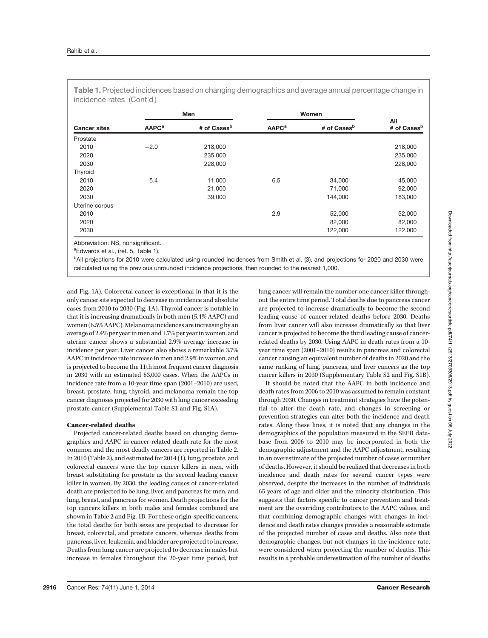|                     | Men                     |                         | Women                   |                         |                                |
|---------------------|-------------------------|-------------------------|-------------------------|-------------------------|--------------------------------|
| <b>Cancer sites</b> | <b>AAPC<sup>a</sup></b> | # of Cases <sup>b</sup> | <b>AAPC<sup>a</sup></b> | # of Cases <sup>b</sup> | All<br># of Cases <sup>b</sup> |
| Prostate            |                         |                         |                         |                         |                                |
| 2010                | $-2.0$                  | 218,000                 |                         |                         | 218,000                        |
| 2020                |                         | 235,000                 |                         |                         | 235,000                        |
| 2030                |                         | 228,000                 |                         |                         | 228,000                        |
| Thyroid             |                         |                         |                         |                         |                                |
| 2010                | 5.4                     | 11,000                  | 6.5                     | 34,000                  | 45,000                         |
| 2020                |                         | 21,000                  |                         | 71,000                  | 92,000                         |
| 2030                |                         | 39,000                  |                         | 144,000                 | 183,000                        |
| Uterine corpus      |                         |                         |                         |                         |                                |
| 2010                |                         |                         | 2.9                     | 52,000                  | 52,000                         |
| 2020                |                         |                         |                         | 82,000                  | 82,000                         |
| 2030                |                         |                         |                         | 122,000                 | 122,000                        |

Table 1. Projected incidences based on changing demographics and average annual percentage change in

Abbreviation: NS, nonsignificant.

<sup>a</sup>Edwards et al., (ref. 5, Table 1).

<sup>b</sup>All projections for 2010 were calculated using rounded incidences from Smith et al. (3), and projections for 2020 and 2030 were calculated using the previous unrounded incidence projections, then rounded to the nearest 1,000.

and Fig. 1A). Colorectal cancer is exceptional in that it is the only cancer site expected to decrease in incidence and absolute cases from 2010 to 2030 (Fig. 1A). Thyroid cancer is notable in that it is increasing dramatically in both men (5.4% AAPC) and women (6.5% AAPC). Melanoma incidences are increasing by an average of 2.4% per year inmen and 1.7% per year in women, and uterine cancer shows a substantial 2.9% average increase in incidence per year. Liver cancer also shows a remarkable 3.7% AAPC in incidence rate increase in men and 2.9% in women, and is projected to become the 11th most frequent cancer diagnosis in 2030 with an estimated 83,000 cases. When the AAPCs in incidence rate from a 10-year time span (2001–2010) are used, breast, prostate, lung, thyroid, and melanoma remain the top cancer diagnoses projected for 2030 with lung cancer exceeding prostate cancer (Supplemental Table S1 and Fig. S1A).

# Cancer-related deaths

Projected cancer-related deaths based on changing demographics and AAPC in cancer-related death rate for the most common and the most deadly cancers are reported in Table 2. In 2010 (Table 2), and estimated for 2014 (1), lung, prostate, and colorectal cancers were the top cancer killers in men, with breast substituting for prostate as the second leading cancer killer in women. By 2030, the leading causes of cancer-related death are projected to be lung, liver, and pancreas for men, and lung, breast, and pancreas for women. Death projections for the top cancers killers in both males and females combined are shown in Table 2 and Fig. 1B. For these origin-specific cancers, the total deaths for both sexes are projected to decrease for breast, colorectal, and prostate cancers, whereas deaths from pancreas, liver, leukemia, and bladder are projected to increase. Deaths from lung cancer are projected to decrease in males but increase in females throughout the 20-year time period, but lung cancer will remain the number one cancer killer throughout the entire time period. Total deaths due to pancreas cancer are projected to increase dramatically to become the second leading cause of cancer-related deaths before 2030. Deaths from liver cancer will also increase dramatically so that liver cancer is projected to become the third leading cause of cancerrelated deaths by 2030. Using AAPC in death rates from a 10 year time span (2001–2010) results in pancreas and colorectal cancer causing an equivalent number of deaths in 2020 and the same ranking of lung, pancreas, and liver cancers as the top cancer killers in 2030 (Supplementary Table S2 and Fig. S1B).

It should be noted that the AAPC in both incidence and death rates from 2006 to 2010 was assumed to remain constant through 2030. Changes in treatment strategies have the potential to alter the death rate, and changes in screening or prevention strategies can alter both the incidence and death rates. Along these lines, it is noted that any changes in the demographics of the population measured in the SEER database from 2006 to 2010 may be incorporated in both the demographic adjustment and the AAPC adjustment, resulting in an overestimate of the projected number of cases or number of deaths. However, it should be realized that decreases in both incidence and death rates for several cancer types were observed, despite the increases in the number of individuals 65 years of age and older and the minority distribution. This suggests that factors specific to cancer prevention and treatment are the overriding contributors to the AAPC values, and that combining demographic changes with changes in incidence and death rates changes provides a reasonable estimate of the projected number of cases and deaths. Also note that demographic changes, but not changes in the incidence rate, were considered when projecting the number of deaths. This results in a probable underestimation of the number of deaths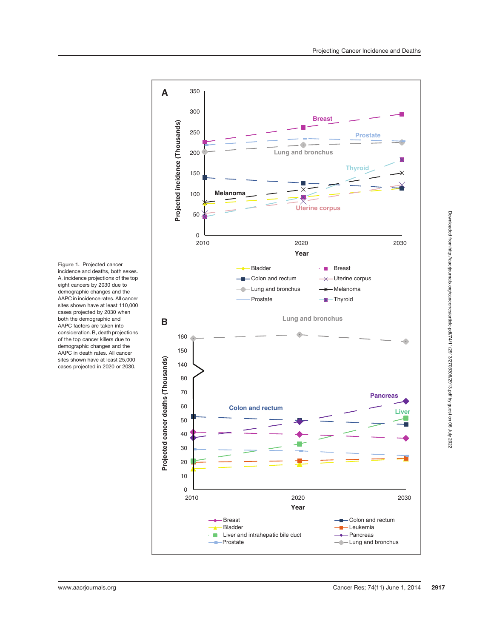

Figure 1. Projected cancer incidence and deaths, both sexes. A, incidence projections of the top eight cancers by 2030 due to demographic changes and the AAPC in incidence rates. All cancer sites shown have at least 110,000 cases projected by 2030 when both the demographic and AAPC factors are taken into consideration. B, death projections of the top cancer killers due to demographic changes and the AAPC in death rates. All cancer sites shown have at least 25,000 cases projected in 2020 or 2030.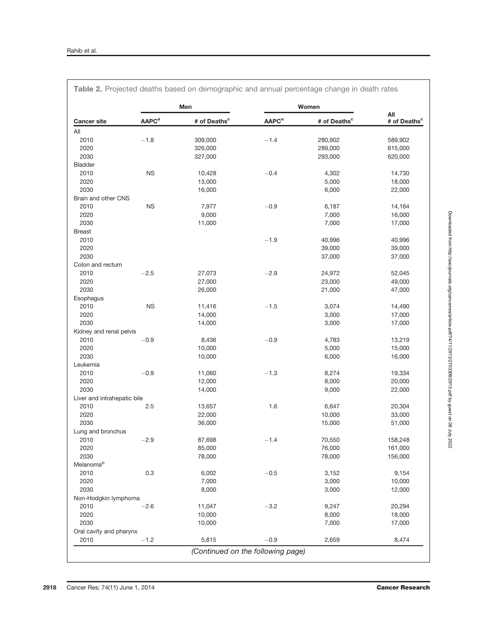$\overline{1}$ 

|                             | Men                     |                          | Women                   |                          |                                 |
|-----------------------------|-------------------------|--------------------------|-------------------------|--------------------------|---------------------------------|
| <b>Cancer site</b>          | <b>AAPC<sup>a</sup></b> | # of Deaths <sup>c</sup> | <b>AAPC<sup>a</sup></b> | # of Deaths <sup>c</sup> | All<br># of Deaths <sup>c</sup> |
| All                         |                         |                          |                         |                          |                                 |
| 2010                        | $-1.8$                  | 309,000                  | $-1.4$                  | 280,902                  | 589,902                         |
| 2020                        |                         | 326,000                  |                         | 289,000                  | 615,000                         |
| 2030                        |                         | 327,000                  |                         | 293,000                  | 620,000                         |
| Bladder                     |                         |                          |                         |                          |                                 |
| 2010                        | <b>NS</b>               | 10,428                   | $-0.4$                  | 4,302                    | 14,730                          |
| 2020                        |                         | 13,000                   |                         | 5,000                    | 18,000                          |
| 2030                        |                         | 16,000                   |                         | 6,000                    | 22,000                          |
| Brain and other CNS         |                         |                          |                         |                          |                                 |
| 2010                        | ${\sf NS}$              | 7,977                    | $-0.9$                  | 6,187                    | 14,164                          |
| 2020                        |                         | 9,000                    |                         | 7,000                    | 16,000                          |
| 2030                        |                         | 11,000                   |                         | 7,000                    | 17,000                          |
| <b>Breast</b>               |                         |                          |                         |                          |                                 |
| 2010                        |                         |                          | $-1.9$                  | 40,996                   | 40,996                          |
| 2020                        |                         |                          |                         | 39,000                   | 39,000                          |
| 2030                        |                         |                          |                         | 37,000                   | 37,000                          |
| Colon and rectum            |                         |                          |                         |                          |                                 |
| 2010                        | $-2.5$                  | 27,073                   | $-2.9$                  | 24,972                   | 52,045                          |
| 2020                        |                         | 27,000                   |                         | 23,000                   | 49,000                          |
| 2030                        |                         | 26,000                   |                         | 21,000                   | 47,000                          |
| Esophagus                   |                         |                          |                         |                          |                                 |
| 2010                        | <b>NS</b>               | 11,416                   | $-1.5$                  | 3,074                    | 14,490                          |
| 2020                        |                         | 14,000                   |                         | 3,000                    | 17,000                          |
| 2030                        |                         | 14,000                   |                         | 3,000                    | 17,000                          |
| Kidney and renal pelvis     |                         |                          |                         |                          |                                 |
| 2010                        | $-0.9$                  | 8,436                    | $-0.9$                  | 4,783                    | 13,219                          |
| 2020                        |                         | 10,000                   |                         | 5,000                    | 15,000                          |
| 2030                        |                         | 10,000                   |                         | 6,000                    | 16,000                          |
| Leukemia                    |                         |                          |                         |                          |                                 |
| 2010                        |                         |                          | $-1.3$                  |                          |                                 |
| 2020                        | $-0.9$                  | 11,060                   |                         | 8,274                    | 19,334                          |
|                             |                         | 12,000                   |                         | 8,000                    | 20,000                          |
| 2030                        |                         | 14,000                   |                         | 9,000                    | 22,000                          |
| Liver and intrahepatic bile |                         |                          |                         |                          |                                 |
| 2010                        | 2.5                     | 13,657                   | 1.6                     | 6,647                    | 20,304                          |
| 2020                        |                         | 22,000                   |                         | 10,000                   | 33,000                          |
| 2030                        |                         | 36,000                   |                         | 15,000                   | 51,000                          |
| Lung and bronchus           |                         |                          |                         |                          |                                 |
| 2010                        | $-2.9$                  | 87,698                   | $-1.4$                  | 70,550                   | 158,248                         |
| 2020                        |                         | 85,000                   |                         | 76,000                   | 161,000                         |
| 2030                        |                         | 78,000                   |                         | 78,000                   | 156,000                         |
| Melanomab                   |                         |                          |                         |                          |                                 |
| 2010                        | 0.3                     | 6,002                    | $-0.5$                  | 3,152                    | 9,154                           |
| 2020                        |                         | 7,000                    |                         | 3,000                    | 10,000                          |
| 2030                        |                         | 8,000                    |                         | 3,000                    | 12,000                          |
| Non-Hodgkin lymphoma        |                         |                          |                         |                          |                                 |
| 2010                        | $-2.6$                  | 11,047                   | $-3.2$                  | 9,247                    | 20,294                          |
| 2020                        |                         | 10,000                   |                         | 8,000                    | 18,000                          |
| 2030                        |                         | 10,000                   |                         | 7,000                    | 17,000                          |
| Oral cavity and pharynx     |                         |                          |                         |                          |                                 |
| 2010                        | $-1.2$                  | 5,815                    | $-0.9$                  | 2,659                    | 8,474                           |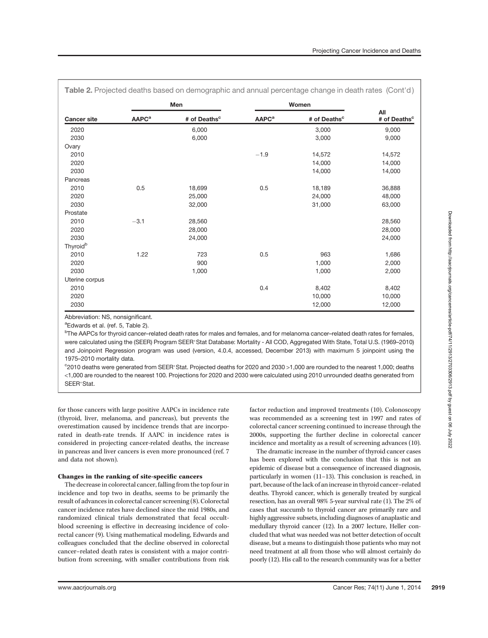| Table 2. Projected deaths based on demographic and annual percentage change in death rates (Cont'd) |                         |                          |                         |                          |                                 |  |  |
|-----------------------------------------------------------------------------------------------------|-------------------------|--------------------------|-------------------------|--------------------------|---------------------------------|--|--|
|                                                                                                     | Men                     |                          | Women                   |                          |                                 |  |  |
| <b>Cancer site</b>                                                                                  | <b>AAPC<sup>a</sup></b> | # of Deaths <sup>c</sup> | <b>AAPC<sup>a</sup></b> | # of Deaths <sup>c</sup> | All<br># of Deaths <sup>c</sup> |  |  |
| 2020                                                                                                |                         | 6,000                    |                         | 3,000                    | 9,000                           |  |  |
| 2030                                                                                                |                         | 6,000                    |                         | 3,000                    | 9,000                           |  |  |
| Ovary                                                                                               |                         |                          |                         |                          |                                 |  |  |
| 2010                                                                                                |                         |                          | $-1.9$                  | 14,572                   | 14,572                          |  |  |
| 2020                                                                                                |                         |                          |                         | 14,000                   | 14,000                          |  |  |
| 2030                                                                                                |                         |                          |                         | 14,000                   | 14,000                          |  |  |
| Pancreas                                                                                            |                         |                          |                         |                          |                                 |  |  |
| 2010                                                                                                | 0.5                     | 18,699                   | 0.5                     | 18,189                   | 36,888                          |  |  |
| 2020                                                                                                |                         | 25,000                   |                         | 24,000                   | 48,000                          |  |  |
| 2030                                                                                                |                         | 32,000                   |                         | 31,000                   | 63,000                          |  |  |
| Prostate                                                                                            |                         |                          |                         |                          |                                 |  |  |
| 2010                                                                                                | $-3.1$                  | 28,560                   |                         |                          | 28,560                          |  |  |
| 2020                                                                                                |                         | 28,000                   |                         |                          | 28,000                          |  |  |
| 2030                                                                                                |                         | 24,000                   |                         |                          | 24,000                          |  |  |
| Thyroid <sup>b</sup>                                                                                |                         |                          |                         |                          |                                 |  |  |
| 2010                                                                                                | 1.22                    | 723                      | 0.5                     | 963                      | 1,686                           |  |  |
| 2020                                                                                                |                         | 900                      |                         | 1,000                    | 2,000                           |  |  |
| 2030                                                                                                |                         | 1,000                    |                         | 1,000                    | 2,000                           |  |  |
| Uterine corpus                                                                                      |                         |                          |                         |                          |                                 |  |  |
| 2010                                                                                                |                         |                          | 0.4                     | 8,402                    | 8,402                           |  |  |
| 2020                                                                                                |                         |                          |                         | 10,000                   | 10,000                          |  |  |
| 2030                                                                                                |                         |                          |                         | 12,000                   | 12,000                          |  |  |

Abbreviation: NS, nonsignificant.

<sup>a</sup>Edwards et al. (ref. 5, Table 2).

b The AAPCs for thyroid cancer–related death rates for males and females, and for melanoma cancer–related death rates for females, were calculated using the (SEER) Program SEER\*Stat Database: Mortality - All COD, Aggregated With State, Total U.S. (1969–2010) and Joinpoint Regression program was used (version, 4.0.4, accessed, December 2013) with maximum 5 joinpoint using the 1975–2010 mortality data.

<sup>c</sup>2010 deaths were generated from SEER<sup>\*</sup> Stat. Projected deaths for 2020 and 2030 >1,000 are rounded to the nearest 1,000; deaths <1,000 are rounded to the nearest 100. Projections for 2020 and 2030 were calculated using 2010 unrounded deaths generated from SFFR\*Stat.

for those cancers with large positive AAPCs in incidence rate (thyroid, liver, melanoma, and pancreas), but prevents the overestimation caused by incidence trends that are incorporated in death-rate trends. If AAPC in incidence rates is considered in projecting cancer-related deaths, the increase in pancreas and liver cancers is even more pronounced (ref. 7 and data not shown).

# Changes in the ranking of site-specific cancers

The decrease in colorectal cancer, falling from the top four in incidence and top two in deaths, seems to be primarily the result of advances in colorectal cancer screening (8). Colorectal cancer incidence rates have declined since the mid 1980s, and randomized clinical trials demonstrated that fecal occultblood screening is effective in decreasing incidence of colorectal cancer (9). Using mathematical modeling, Edwards and colleagues concluded that the decline observed in colorectal cancer–related death rates is consistent with a major contribution from screening, with smaller contributions from risk

factor reduction and improved treatments (10). Colonoscopy was recommended as a screening test in 1997 and rates of colorectal cancer screening continued to increase through the 2000s, supporting the further decline in colorectal cancer incidence and mortality as a result of screening advances (10).

The dramatic increase in the number of thyroid cancer cases has been explored with the conclusion that this is not an epidemic of disease but a consequence of increased diagnosis, particularly in women (11–13). This conclusion is reached, in part, because of the lack of an increase in thyroid cancer–related deaths. Thyroid cancer, which is generally treated by surgical resection, has an overall 98% 5-year survival rate (1). The 2% of cases that succumb to thyroid cancer are primarily rare and highly aggressive subsets, including diagnoses of anaplastic and medullary thyroid cancer (12). In a 2007 lecture, Heller concluded that what was needed was not better detection of occult disease, but a means to distinguish those patients who may not need treatment at all from those who will almost certainly do poorly (12). His call to the research community was for a better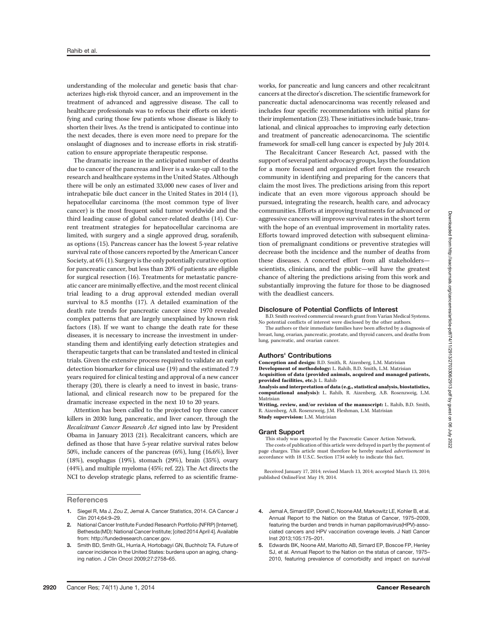understanding of the molecular and genetic basis that characterizes high-risk thyroid cancer, and an improvement in the treatment of advanced and aggressive disease. The call to healthcare professionals was to refocus their efforts on identifying and curing those few patients whose disease is likely to shorten their lives. As the trend is anticipated to continue into the next decades, there is even more need to prepare for the onslaught of diagnoses and to increase efforts in risk stratification to ensure appropriate therapeutic response.

The dramatic increase in the anticipated number of deaths due to cancer of the pancreas and liver is a wake-up call to the research and healthcare systems in the United States. Although there will be only an estimated 33,000 new cases of liver and intrahepatic bile duct cancer in the United States in 2014 (1), hepatocellular carcinoma (the most common type of liver cancer) is the most frequent solid tumor worldwide and the third leading cause of global cancer-related deaths (14). Current treatment strategies for hepatocellular carcinoma are limited, with surgery and a single approved drug, sorafenib, as options (15). Pancreas cancer has the lowest 5-year relative survival rate of those cancers reported by the American Cancer Society, at 6% (1). Surgery is the only potentially curative option for pancreatic cancer, but less than 20% of patients are eligible for surgical resection (16). Treatments for metastatic pancreatic cancer are minimally effective, and the most recent clinical trial leading to a drug approval extended median overall survival to 8.5 months (17). A detailed examination of the death rate trends for pancreatic cancer since 1970 revealed complex patterns that are largely unexplained by known risk factors (18). If we want to change the death rate for these diseases, it is necessary to increase the investment in understanding them and identifying early detection strategies and therapeutic targets that can be translated and tested in clinical trials. Given the extensive process required to validate an early detection biomarker for clinical use (19) and the estimated 7.9 years required for clinical testing and approval of a new cancer therapy (20), there is clearly a need to invest in basic, translational, and clinical research now to be prepared for the dramatic increase expected in the next 10 to 20 years.

Attention has been called to the projected top three cancer killers in 2030: lung, pancreatic, and liver cancer, through the Recalcitrant Cancer Research Act signed into law by President Obama in January 2013 (21). Recalcitrant cancers, which are defined as those that have 5-year relative survival rates below 50%, include cancers of the pancreas (6%), lung (16.6%), liver (18%), esophagus (19%), stomach (29%), brain (35%), ovary (44%), and multiple myeloma (45%; ref. 22). The Act directs the NCI to develop strategic plans, referred to as scientific frame-

**References** 

- 1. Siegel R, Ma J, Zou Z, Jemal A. Cancer Statistics, 2014. CA Cancer J Clin 2014;64:9–29.
- 2. National Cancer Institute Funded Research Portfolio (NFRP) [Internet]. Bethesda (MD): National Cancer Institute; [cited 2014 April 4]. Available from: http://fundedresearch.cancer.gov.
- 3. Smith BD, Smith GL, Hurria A, Hortobagyi GN, Buchholz TA. Future of cancer incidence in the United States: burdens upon an aging, changing nation. J Clin Oncol 2009;27:2758–65.

works, for pancreatic and lung cancers and other recalcitrant cancers at the director's discretion. The scientific framework for pancreatic ductal adenocarcinoma was recently released and includes four specific recommendations with initial plans for their implementation (23). These initiatives include basic, translational, and clinical approaches to improving early detection and treatment of pancreatic adenocarcinoma. The scientific framework for small-cell lung cancer is expected by July 2014. The Recalcitrant Cancer Research Act, passed with the

support of several patient advocacy groups, lays the foundation for a more focused and organized effort from the research community in identifying and preparing for the cancers that claim the most lives. The predictions arising from this report indicate that an even more vigorous approach should be pursued, integrating the research, health care, and advocacy communities. Efforts at improving treatments for advanced or aggressive cancers will improve survival rates in the short term with the hope of an eventual improvement in mortality rates. Efforts toward improved detection with subsequent elimination of premalignant conditions or preventive strategies will decrease both the incidence and the number of deaths from these diseases. A concerted effort from all stakeholders scientists, clinicians, and the public—will have the greatest chance of altering the predictions arising from this work and substantially improving the future for those to be diagnosed with the deadliest cancers.

#### Disclosure of Potential Conflicts of Interest

B.D. Smith received commercial research grant from Varian Medical Systems. No potential conflicts of interest were disclosed by the other authors.

The authors or their immediate families have been affected by a diagnosis of breast, lung, ovarian, pancreatic, prostate, and thyroid cancers, and deaths from lung, pancreatic, and ovarian cancer.

#### Authors' Contributions

Conception and design: B.D. Smith, R. Aizenberg, L.M. Matrisian Development of methodology: L. Rahib, B.D. Smith, L.M. Matrisian Acquisition of data (provided animals, acquired and managed patients, provided facilities, etc.): L. Rahib

Analysis and interpretation of data (e.g., statistical analysis, biostatistics, computational analysis): L. Rahib, R. Aizenberg, A.B. Rosenzweig, L.M. Matrisian

Writing, review, and/or revision of the manuscript: L. Rahib, B.D. Smith, R. Aizenberg, A.B. Rosenzweig, J.M. Fleshman, L.M. Matrisian Study supervision: L.M. Matrisian

## Grant Support

This study was supported by the Pancreatic Cancer Action Network. The costs of publication of this article were defrayed in part by the payment of page charges. This article must therefore be hereby marked advertisement in accordance with 18 U.S.C. Section 1734 solely to indicate this fact.

Received January 17, 2014; revised March 13, 2014; accepted March 13, 2014; published OnlineFirst May 19, 2014.

- 4. Jemal A, Simard EP, Dorell C, Noone AM, Markowitz LE, Kohler B, et al. Annual Report to the Nation on the Status of Cancer, 1975–2009, featuring the burden and trends in human papillomavirus(HPV)-associated cancers and HPV vaccination coverage levels. J Natl Cancer Inst 2013;105:175–201.
- 5. Edwards BK, Noone AM, Mariotto AB, Simard EP, Boscoe FP, Henley SJ, et al. Annual Report to the Nation on the status of cancer, 1975– 2010, featuring prevalence of comorbidity and impact on survival